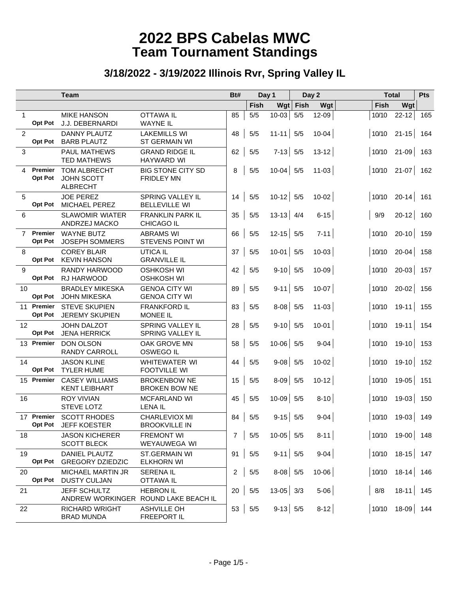|                |                              | <b>Team</b>                                                 | Bt#                                                      |                | Day 1       |               | Day 2 |           |       | <b>Total</b>            |             |
|----------------|------------------------------|-------------------------------------------------------------|----------------------------------------------------------|----------------|-------------|---------------|-------|-----------|-------|-------------------------|-------------|
|                |                              |                                                             |                                                          |                | <b>Fish</b> | Wgt           | Fish  | Wgt       |       | Wgt<br>Fish             |             |
| $\mathbf{1}$   | <b>Opt Pot</b>               | <b>MIKE HANSON</b><br><b>J.J. DEBERNARDI</b>                | <b>OTTAWA IL</b><br><b>WAYNE IL</b>                      | 85             | 5/5         | $10 - 03$     | 5/5   | 12-09     | 10/10 | $22 - 12$               | 165         |
| $\overline{2}$ | Opt Pot                      | <b>DANNY PLAUTZ</b><br><b>BARB PLAUTZ</b>                   | <b>LAKEMILLS WI</b><br>ST GERMAIN WI                     | 48             | 5/5         | $11 - 11$ 5/5 |       | $10 - 04$ | 10/10 | $21 - 15$               | 164         |
| 3              |                              | PAUL MATHEWS<br><b>TED MATHEWS</b>                          | <b>GRAND RIDGE IL</b><br><b>HAYWARD WI</b>               | 62             | 5/5         | $7-13$ 5/5    |       | $13 - 12$ | 10/10 | $21 - 09$               | 163         |
| 4              | Premier<br><b>Opt Pot</b>    | <b>TOM ALBRECHT</b><br><b>JOHN SCOTT</b><br><b>ALBRECHT</b> | <b>BIG STONE CITY SD</b><br><b>FRIDLEY MN</b>            | 8              | 5/5         | $10-04$ 5/5   |       | $11 - 03$ | 10/10 | $21-07$                 | 162         |
| 5              | <b>Opt Pot</b>               | <b>JOE PEREZ</b><br>MICHAEL PEREZ                           | SPRING VALLEY IL<br><b>BELLEVILLE WI</b>                 | 14             | 5/5         | $10-12$ 5/5   |       | $10 - 02$ | 10/10 | $20 - 14$               | 161         |
| 6              |                              | <b>SLAWOMIR WIATER</b><br>ANDRZEJ MACKO                     | <b>FRANKLIN PARK IL</b><br><b>CHICAGO IL</b>             | 35             | 5/5         | $13-13$ 4/4   |       | $6 - 15$  | 9/9   | $20 - 12$               | 160         |
| $\overline{7}$ | Premier<br>Opt Pot           | <b>WAYNE BUTZ</b><br><b>JOSEPH SOMMERS</b>                  | <b>ABRAMS WI</b><br><b>STEVENS POINT WI</b>              | 66             | 5/5         | $12 - 15$ 5/5 |       | $7 - 11$  | 10/10 | $20 - 10$               | 159         |
| 8              | Opt Pot                      | <b>COREY BLAIR</b><br><b>KEVIN HANSON</b>                   | <b>UTICA IL</b><br><b>GRANVILLE IL</b>                   | 37             | 5/5         | $10-01$ 5/5   |       | $10 - 03$ | 10/10 | $20 - 04$               | 158         |
| 9              | Opt Pot                      | RANDY HARWOOD<br>RJ HARWOOD                                 | <b>OSHKOSH WI</b><br><b>OSHKOSH WI</b>                   | 42             | 5/5         | $9-10$ 5/5    |       | $10 - 09$ | 10/10 | $20 - 03$               | 157         |
| 10             | Opt Pot                      | <b>BRADLEY MIKESKA</b><br><b>JOHN MIKESKA</b>               | <b>GENOA CITY WI</b><br><b>GENOA CITY WI</b>             | 89             | 5/5         | $9-11$ 5/5    |       | $10-07$   | 10/10 | $20 - 02$               | 156         |
|                | 11 Premier<br><b>Opt Pot</b> | <b>STEVE SKUPIEN</b><br><b>JEREMY SKUPIEN</b>               | <b>FRANKFORD IL</b><br><b>MONEE IL</b>                   | 83             | 5/5         | $8-08$ 5/5    |       | $11 - 03$ | 10/10 | $19-11$                 | 155         |
| 12             | <b>Opt Pot</b>               | <b>JOHN DALZOT</b><br><b>JENA HERRICK</b>                   | SPRING VALLEY IL<br><b>SPRING VALLEY IL</b>              | 28             | 5/5         | $9-10$ 5/5    |       | $10 - 01$ | 10/10 |                         | $19-11$ 154 |
|                | 13 Premier                   | <b>DON OLSON</b><br><b>RANDY CARROLL</b>                    | OAK GROVE MN<br><b>OSWEGO IL</b>                         | 58             | 5/5         | $10-06$ 5/5   |       | $9 - 04$  | 10/10 |                         | $19-10$ 153 |
| 14             | <b>Opt Pot</b>               | <b>JASON KLINE</b><br><b>TYLER HUME</b>                     | <b>WHITEWATER WI</b><br><b>FOOTVILLE WI</b>              | 44             | 5/5         | $9-08$ 5/5    |       | $10 - 02$ | 10/10 |                         | $19-10$ 152 |
|                | 15 Premier                   | <b>CASEY WILLIAMS</b><br><b>KENT LEIBHART</b>               | <b>BROKENBOW NE</b><br><b>BROKEN BOW NE</b>              | 15             | 5/5         | $8-09$ 5/5    |       | $10 - 12$ | 10/10 | $19-05$                 | 151         |
| 16             |                              | <b>ROY VIVIAN</b><br><b>STEVE LOTZ</b>                      | <b>MCFARLAND WI</b><br><b>LENA IL</b>                    | 45             | 5/5         | $10-09$ 5/5   |       | $8 - 10$  | 10/10 | $19-03$                 | 150         |
|                | 17 Premier                   | <b>SCOTT RHODES</b><br>Opt Pot JEFF KOESTER                 | <b>CHARLEVIOX MI</b><br><b>BROOKVILLE IN</b>             | 84             | 5/5         | $9-15$ 5/5    |       | $9 - 04$  |       | 10/10<br>$19-03$        | 149         |
| 18             |                              | <b>JASON KICHERER</b><br><b>SCOTT BLECK</b>                 | <b>FREMONT WI</b><br>WEYAUWEGA WI                        | $\overline{7}$ | $5/5$       | $10-05$ 5/5   |       | $8 - 11$  |       | 10/10 19-00 148         |             |
| 19             | <b>Opt Pot</b>               | DANIEL PLAUTZ<br><b>GREGORY DZIEDZIC</b>                    | ST.GERMAIN WI<br><b>ELKHORN WI</b>                       | 91             | $5/5$       | $9-11$ 5/5    |       | $9-04$    |       | $ 10/10 \t18-15  \t147$ |             |
| 20             | <b>Opt Pot</b>               | MICHAEL MARTIN JR<br><b>DUSTY CULJAN</b>                    | <b>SERENAIL</b><br><b>OTTAWA IL</b>                      | 2              | $5/5$       | $8-08$ 5/5    |       | $10 - 06$ |       | $ 10/10 \t18-14  \t146$ |             |
| 21             |                              | JEFF SCHULTZ                                                | <b>HEBRON IL</b><br>ANDREW WORKINGER ROUND LAKE BEACH IL | 20             | $5/5$       | $13-05$ 3/3   |       | $5-06$    | 8/8   |                         | $18-11$ 145 |
| 22             |                              | <b>RICHARD WRIGHT</b><br><b>BRAD MUNDA</b>                  | <b>ASHVILLE OH</b><br>FREEPORT IL                        | 53             | $5/5$       | $9-13$ 5/5    |       | $8-12$    | 10/10 |                         | $18-09$ 144 |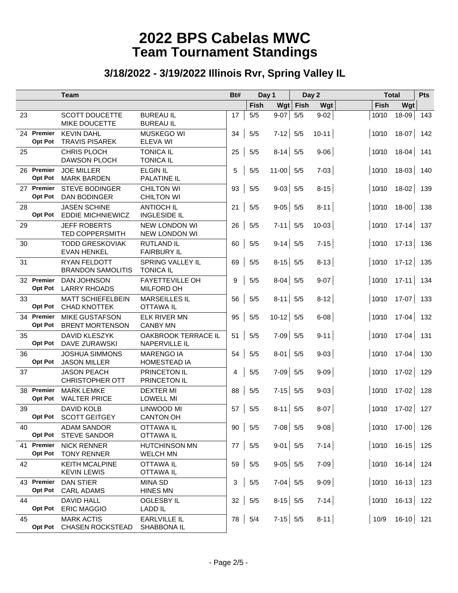|    |                              | <b>Team</b>                                     |                                                    | Bt#<br>Day 1 |             |             | Day 2 |           | <b>Total</b> |       | Pts                     |     |
|----|------------------------------|-------------------------------------------------|----------------------------------------------------|--------------|-------------|-------------|-------|-----------|--------------|-------|-------------------------|-----|
|    |                              |                                                 |                                                    |              | <b>Fish</b> | Wgt         | Fish  | Wgt       |              | Fish  | Wgt                     |     |
| 23 |                              | SCOTT DOUCETTE<br>MIKE DOUCETTE                 | <b>BUREAU IL</b><br><b>BUREAU IL</b>               | 17           | 5/5         | $9-07$      | 5/5   | $9 - 02$  |              | 10/10 | $18 - 09$               | 143 |
|    | 24 Premier<br><b>Opt Pot</b> | <b>KEVIN DAHL</b><br><b>TRAVIS PISAREK</b>      | <b>MUSKEGO WI</b><br>ELEVA WI                      | 34           | 5/5         | $7-12$ 5/5  |       | $10 - 11$ |              | 10/10 | $18-07$                 | 142 |
| 25 |                              | <b>CHRIS PLOCH</b><br><b>DAWSON PLOCH</b>       | <b>TONICA IL</b><br><b>TONICA IL</b>               | 25           | 5/5         | $8-14$ 5/5  |       | $9 - 06$  |              | 10/10 | $18 - 04$               | 141 |
|    | 26 Premier<br><b>Opt Pot</b> | <b>JOE MILLER</b><br><b>MARK BARDEN</b>         | <b>ELGIN IL</b><br><b>PALATINE IL</b>              | 5            | 5/5         | $11-00$ 5/5 |       | $7 - 03$  |              | 10/10 | $18-03$                 | 140 |
|    | 27 Premier<br><b>Opt Pot</b> | <b>STEVE BODINGER</b><br><b>DAN BODINGER</b>    | <b>CHILTON WI</b><br><b>CHILTON WI</b>             | 93           | 5/5         | $9-03$ 5/5  |       | $8 - 15$  |              | 10/10 | $18-02$                 | 139 |
| 28 | <b>Opt Pot</b>               | <b>JASEN SCHINE</b><br><b>EDDIE MICHNIEWICZ</b> | <b>ANTIOCH IL</b><br><b>INGLESIDE IL</b>           | 21           | 5/5         | $9-05$ 5/5  |       | $8 - 11$  |              | 10/10 | $18-00$                 | 138 |
| 29 |                              | <b>JEFF ROBERTS</b><br><b>TED COPPERSMITH</b>   | <b>NEW LONDON WI</b><br><b>NEW LONDON WI</b>       | 26           | 5/5         | $7-11$ 5/5  |       | $10 - 03$ |              | 10/10 | $17-14$ 137             |     |
| 30 |                              | <b>TODD GRESKOVIAK</b><br><b>EVAN HENKEL</b>    | <b>RUTLAND IL</b><br><b>FAIRBURY IL</b>            | 60           | 5/5         | $9-14$ 5/5  |       | $7 - 15$  |              | 10/10 | $17 - 13$               | 136 |
| 31 |                              | <b>RYAN FELDOTT</b><br><b>BRANDON SAMOLITIS</b> | <b>SPRING VALLEY IL</b><br><b>TONICA IL</b>        | 69           | 5/5         | $8-15$ 5/5  |       | $8-13$    |              | 10/10 | $17-12$ 135             |     |
|    | 32 Premier<br><b>Opt Pot</b> | <b>DAN JOHNSON</b><br><b>LARRY RHOADS</b>       | <b>FAYETTEVILLE OH</b><br><b>MILFORD OH</b>        | 9            | 5/5         | $8-04$ 5/5  |       | $9 - 07$  |              | 10/10 | $17-11$ 134             |     |
| 33 | <b>Opt Pot</b>               | <b>MATT SCHIEFELBEIN</b><br><b>CHAD KNOTTEK</b> | <b>MARSEILLES IL</b><br><b>OTTAWA IL</b>           | 56           | 5/5         | $8-11$ 5/5  |       | $8 - 12$  |              | 10/10 | $17-07$ 133             |     |
|    | 34 Premier<br><b>Opt Pot</b> | <b>MIKE GUSTAFSON</b><br><b>BRENT MORTENSON</b> | <b>ELK RIVER MN</b><br><b>CANBY MN</b>             | 95           | 5/5         | $10-12$ 5/5 |       | $6-08$    |              | 10/10 | $17 - 04$               | 132 |
| 35 | <b>Opt Pot</b>               | <b>DAVID KLESZYK</b><br>DAVE ZURAWSKI           | <b>OAKBROOK TERRACE IL</b><br><b>NAPERVILLE IL</b> | 51           | 5/5         | $7-09$ 5/5  |       | $9 - 11$  |              | 10/10 | $17 - 04$               | 131 |
| 36 | <b>Opt Pot</b>               | <b>JOSHUA SIMMONS</b><br><b>JASON MILLER</b>    | <b>MARENGO IA</b><br><b>HOMESTEAD IA</b>           | 54           | 5/5         | $8-01$ 5/5  |       | $9-03$    |              | 10/10 | $17 - 04$               | 130 |
| 37 |                              | <b>JASON PEACH</b><br><b>CHRISTOPHER OTT</b>    | PRINCETON IL<br>PRINCETON IL                       | 4            | 5/5         | $7-09$ 5/5  |       | $9 - 09$  |              | 10/10 | $17 - 02$               | 129 |
|    | 38 Premier<br><b>Opt Pot</b> | <b>MARK LEMKE</b><br><b>WALTER PRICE</b>        | <b>DEXTER MI</b><br><b>LOWELL MI</b>               | 88           | 5/5         | $7-15$ 5/5  |       | $9 - 03$  |              | 10/10 | $17 - 02$               | 128 |
| 39 | Opt Pot                      | <b>DAVID KOLB</b><br><b>SCOTT GEITGEY</b>       | LINWOOD MI<br><b>CANTON OH</b>                     | 57           | $5/5$       | $8-11$ 5/5  |       | $8 - 07$  |              | 10/10 | $17 - 02$               | 127 |
| 40 | <b>Opt Pot</b>               | <b>ADAM SANDOR</b><br><b>STEVE SANDOR</b>       | <b>OTTAWA IL</b><br><b>OTTAWA IL</b>               | 90           | 5/5         | $7-08$ 5/5  |       | $9 - 08$  |              |       | 10/10 17-00 126         |     |
|    | 41 Premier<br><b>Opt Pot</b> | <b>NICK RENNER</b><br><b>TONY RENNER</b>        | <b>HUTCHINSON MN</b><br><b>WELCH MN</b>            | 77           | 5/5         | $9-01$ 5/5  |       | $7-14$    |              |       | $ 10/10 \t16-15  \t125$ |     |
| 42 |                              | <b>KEITH MCALPINE</b><br><b>KEVIN LEWIS</b>     | <b>OTTAWA IL</b><br><b>OTTAWA IL</b>               | 59           | 5/5         | $9-05$ 5/5  |       | $7-09$    |              |       | $ 10/10 16 - 14  124$   |     |
|    | 43 Premier                   | <b>DAN STIER</b><br>Opt Pot CARL ADAMS          | <b>MINA SD</b><br><b>HINES MN</b>                  | 3            | $5/5$       | $7-04$ 5/5  |       | $9 - 09$  |              | 10/10 | $16-13$ 123             |     |
| 44 |                              | <b>DAVID HALL</b><br>Opt Pot ERIC MAGGIO        | <b>OGLESBY IL</b><br><b>LADD IL</b>                | 32           | 5/5         | $8-15$ 5/5  |       | $7-14$    |              | 10/10 | $16-13$ 122             |     |
| 45 | <b>Opt Pot</b>               | <b>MARK ACTIS</b><br><b>CHASEN ROCKSTEAD</b>    | <b>EARLVILLE IL</b><br>SHABBONA IL                 |              | 78 5/4      | $7-15$ 5/5  |       | $8-11$    |              | 10/9  | $16-10$ 121             |     |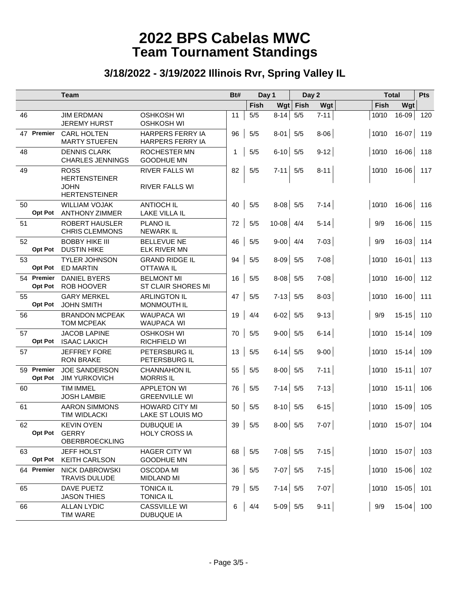|    |                              | <b>Team</b>                                         |                                                | Bt#<br>Day 1 |               | Day 2       |      |          | <b>Total</b> |                         |     |
|----|------------------------------|-----------------------------------------------------|------------------------------------------------|--------------|---------------|-------------|------|----------|--------------|-------------------------|-----|
|    |                              |                                                     |                                                |              | Fish          | Wgt         | Fish | Wgt      | Fish         | Wgt                     |     |
| 46 |                              | <b>JIM ERDMAN</b><br><b>JEREMY HURST</b>            | <b>OSHKOSH WI</b><br><b>OSHKOSH WI</b>         | 11           | 5/5           | $8-14$ 5/5  |      | $7 - 11$ | 10/10        | $16 - 09$               | 120 |
|    | 47 Premier                   | <b>CARL HOLTEN</b><br><b>MARTY STUEFEN</b>          | HARPERS FERRY IA<br><b>HARPERS FERRY IA</b>    | 96           | 5/5           | $8-01$ 5/5  |      | $8 - 06$ | 10/10        | $16-07$ 119             |     |
| 48 |                              | <b>DENNIS CLARK</b><br><b>CHARLES JENNINGS</b>      | <b>ROCHESTER MN</b><br><b>GOODHUE MN</b>       | $\mathbf{1}$ | $5/5$         | $6-10$ 5/5  |      | $9 - 12$ | 10/10        | $16 - 06$               | 118 |
| 49 |                              | <b>ROSS</b><br><b>HERTENSTEINER</b><br><b>JOHN</b>  | <b>RIVER FALLS WI</b><br><b>RIVER FALLS WI</b> | 82           | 5/5           | $7-11$ 5/5  |      | $8 - 11$ | 10/10        | 16-06                   | 117 |
| 50 |                              | <b>HERTENSTEINER</b><br><b>WILLIAM VOJAK</b>        | <b>ANTIOCH IL</b>                              | 40           | 5/5           | $8-08$ 5/5  |      | $7-14$   | 10/10        | $16-06$ 116             |     |
|    | <b>Opt Pot</b>               | <b>ANTHONY ZIMMER</b>                               | LAKE VILLA IL                                  |              |               |             |      |          |              |                         |     |
| 51 |                              | <b>ROBERT HAUSLER</b><br><b>CHRIS CLEMMONS</b>      | <b>PLANO IL</b><br><b>NEWARK IL</b>            | 72           | 5/5           | $10-08$ 4/4 |      | $5 - 14$ | 9/9          | $16 - 06$               | 115 |
| 52 | <b>Opt Pot</b>               | <b>BOBBY HIKE III</b><br><b>DUSTIN HIKE</b>         | <b>BELLEVUE NE</b><br><b>ELK RIVER MN</b>      | 46           | 5/5           | $9-00$ 4/4  |      | $7-03$   | 9/9          | $16-03$ 114             |     |
| 53 | <b>Opt Pot</b>               | <b>TYLER JOHNSON</b><br><b>ED MARTIN</b>            | <b>GRAND RIDGE IL</b><br><b>OTTAWA IL</b>      | 94           | 5/5           | $8-09$ 5/5  |      | $7 - 08$ | 10/10        | $16-01$ 113             |     |
|    | 54 Premier<br><b>Opt Pot</b> | <b>DANIEL BYERS</b><br><b>ROB HOOVER</b>            | <b>BELMONT MI</b><br><b>ST CLAIR SHORES MI</b> | 16           | 5/5           | $8-08$ 5/5  |      | $7 - 08$ | 10/10        | $16 - 00$               | 112 |
| 55 | <b>Opt Pot</b>               | <b>GARY MERKEL</b><br><b>JOHN SMITH</b>             | <b>ARLINGTON IL</b><br>MONMOUTH IL             | 47           | 5/5           | $7-13$ 5/5  |      | $8-03$   | 10/10        | $16-00$                 | 111 |
| 56 |                              | <b>BRANDON MCPEAK</b><br><b>TOM MCPEAK</b>          | <b>WAUPACA WI</b><br><b>WAUPACA WI</b>         | 19           | 4/4           | $6-02$ 5/5  |      | $9 - 13$ | 9/9          | $15-15$ 110             |     |
| 57 | <b>Opt Pot</b>               | <b>JACOB LAPINE</b><br><b>ISAAC LAKICH</b>          | <b>OSHKOSH WI</b><br>RICHFIELD WI              | 70           | 5/5           | $9-00$ 5/5  |      | $6 - 14$ | 10/10        | $15 - 14$               | 109 |
| 57 |                              | <b>JEFFREY FORE</b><br><b>RON BRAKE</b>             | PETERSBURG IL<br>PETERSBURG IL                 | 13           | 5/5           | $6-14$ 5/5  |      | $9-00$   | 10/10        | $15-14$ 109             |     |
|    | 59 Premier<br><b>Opt Pot</b> | <b>JOE SANDERSON</b><br><b>JIM YURKOVICH</b>        | <b>CHANNAHON IL</b><br><b>MORRIS IL</b>        | 55           | 5/5           | $8-00$ 5/5  |      | $7 - 11$ | 10/10        | $15-11$ 107             |     |
| 60 |                              | <b>TIM IMMEL</b><br><b>JOSH LAMBIE</b>              | <b>APPLETON WI</b><br><b>GREENVILLE WI</b>     | 76           | 5/5           | $7-14$ 5/5  |      | $7-13$   | 10/10        | $15-11$                 | 106 |
| 61 |                              | <b>AARON SIMMONS</b><br><b>TIM WIDLACKI</b>         | <b>HOWARD CITY MI</b><br>LAKE ST LOUIS MO      | 50           | 5/5           | $8-10$ 5/5  |      | $6 - 15$ | 10/10        | $15-09$                 | 105 |
| 62 | <b>Opt Pot</b>               | <b>KEVIN OYEN</b><br><b>GERRY</b><br>OBERBROECKLING | <b>DUBUQUE IA</b><br><b>HOLY CROSS IA</b>      |              | $39 \mid 5/5$ | $8-00$ 5/5  |      | $7-07$   |              | $ 10/10 \t15-07  104$   |     |
| 63 | <b>Opt Pot</b>               | JEFF HOLST<br><b>KEITH CARLSON</b>                  | HAGER CITY WI<br><b>GOODHUE MN</b>             |              | 68 5/5        | $7-08$ 5/5  |      | $7-15$   |              | $ 10/10 \t15-07  \t103$ |     |
|    | 64 Premier                   | <b>NICK DABROWSKI</b><br><b>TRAVIS DULUDE</b>       | <b>OSCODA MI</b><br><b>MIDLAND MI</b>          |              | $36 \mid 5/5$ | $7-07$ 5/5  |      | $7-15$   |              | $ 10/10 \t15-06  \t102$ |     |
| 65 |                              | DAVE PUETZ<br><b>JASON THIES</b>                    | <b>TONICA IL</b><br><b>TONICA IL</b>           | 79           | 5/5           | $7-14$ 5/5  |      | $7-07$   | 10/10        | $15-05$ 101             |     |
| 66 |                              | <b>ALLAN LYDIC</b><br><b>TIM WARE</b>               | <b>CASSVILLE WI</b><br><b>DUBUQUE IA</b>       | 6            | 4/4           | $5-09$ 5/5  |      | $9-11$   | 9/9          | $15-04$ 100             |     |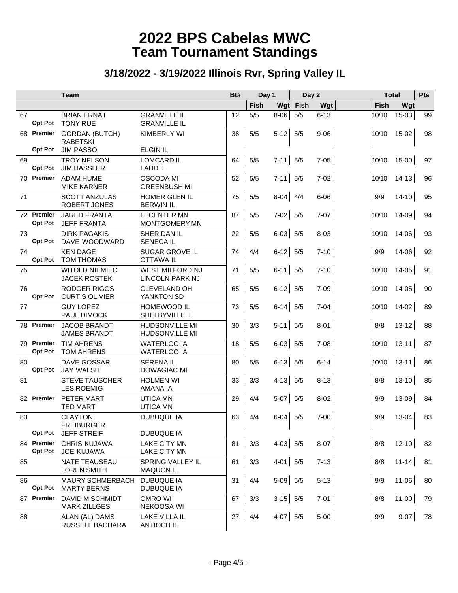|    |                              | <b>Team</b>                                  | Bt#                                            |    | Day 1    |            | Day 2 |          | <b>Total</b> |           | <b>Pts</b> |
|----|------------------------------|----------------------------------------------|------------------------------------------------|----|----------|------------|-------|----------|--------------|-----------|------------|
|    |                              |                                              |                                                |    | Fish     | $Wgt$ Fish |       | Wgt      | Fish         | Wgt       |            |
| 67 | <b>Opt Pot</b>               | <b>BRIAN ERNAT</b><br><b>TONY RUE</b>        | <b>GRANVILLE IL</b><br><b>GRANVILLE IL</b>     | 12 | $5/5$    | $8-06$     | 5/5   | $6 - 13$ | 10/10        | 15-03     | 99         |
| 68 | Premier                      | <b>GORDAN (BUTCH)</b><br><b>RABETSKI</b>     | <b>KIMBERLY WI</b>                             | 38 | 5/5      | $5-12$ 5/5 |       | $9 - 06$ | 10/10        | 15-02     | 98         |
|    | <b>Opt Pot</b>               | <b>JIM PASSO</b>                             | <b>ELGIN IL</b>                                |    |          |            |       |          |              |           |            |
| 69 | <b>Opt Pot</b>               | <b>TROY NELSON</b><br><b>JIM HASSLER</b>     | <b>LOMCARD IL</b><br><b>LADD IL</b>            | 64 | 5/5      | $7-11$ 5/5 |       | $7 - 05$ | 10/10        | 15-00     | 97         |
|    | 70 Premier                   | <b>ADAM HUME</b><br><b>MIKE KARNER</b>       | <b>OSCODA MI</b><br><b>GREENBUSH MI</b>        | 52 | 5/5      | $7-11$ 5/5 |       | $7 - 02$ | 10/10        | $14 - 13$ | 96         |
| 71 |                              | <b>SCOTT ANZULAS</b><br>ROBERT JONES         | HOMER GLEN IL<br><b>BERWIN IL</b>              | 75 | 5/5      | $8-04$ 4/4 |       | $6 - 06$ | 9/9          | $14 - 10$ | 95         |
|    | 72 Premier<br><b>Opt Pot</b> | <b>JARED FRANTA</b><br><b>JEFF FRANTA</b>    | <b>LECENTER MN</b><br><b>MONTGOMERY MN</b>     | 87 | 5/5      | $7-02$ 5/5 |       | $7 - 07$ | 10/10        | 14-09     | 94         |
| 73 | <b>Opt Pot</b>               | <b>DIRK PAGAKIS</b><br>DAVE WOODWARD         | <b>SHERIDAN IL</b><br><b>SENECA IL</b>         | 22 | 5/5      | $6-03$ 5/5 |       | $8-03$   | 10/10        | 14-06     | 93         |
| 74 | <b>Opt Pot</b>               | <b>KEN DAGE</b><br><b>TOM THOMAS</b>         | <b>SUGAR GROVE IL</b><br><b>OTTAWA IL</b>      | 74 | 4/4      | $6-12$ 5/5 |       | $7-10$   | 9/9          | 14-06     | 92         |
| 75 |                              | <b>WITOLD NIEMIEC</b><br><b>JACEK ROSTEK</b> | <b>WEST MILFORD NJ</b><br>LINCOLN PARK NJ      | 71 | 5/5      | $6-11$ 5/5 |       | $7-10$   | 10/10        | $14 - 05$ | 91         |
| 76 | <b>Opt Pot</b>               | <b>RODGER RIGGS</b><br><b>CURTIS OLIVIER</b> | <b>CLEVELAND OH</b><br>YANKTON SD              | 65 | 5/5      | $6-12$ 5/5 |       | $7-09$   | 10/10        | $14 - 05$ | 90         |
| 77 |                              | <b>GUY LOPEZ</b><br><b>PAUL DIMOCK</b>       | HOMEWOOD IL<br>SHELBYVILLE IL                  | 73 | 5/5      | $6-14$ 5/5 |       | $7-04$   | 10/10        | $14 - 02$ | 89         |
|    | 78 Premier                   | <b>JACOB BRANDT</b><br><b>JAMES BRANDT</b>   | <b>HUDSONVILLE MI</b><br><b>HUDSONVILLE MI</b> | 30 | 3/3      | $5-11$ 5/5 |       | $8-01$   | 8/8          | $13 - 12$ | 88         |
|    | 79 Premier<br><b>Opt Pot</b> | <b>TIM AHRENS</b><br><b>TOM AHRENS</b>       | <b>WATERLOO IA</b><br><b>WATERLOO IA</b>       | 18 | 5/5      | $6-03$ 5/5 |       | $7-08$   | 10/10        | $13 - 11$ | 87         |
| 80 | <b>Opt Pot</b>               | <b>DAVE GOSSAR</b><br><b>JAY WALSH</b>       | <b>SERENA IL</b><br><b>DOWAGIAC MI</b>         | 80 | 5/5      | $6-13$ 5/5 |       | $6 - 14$ | 10/10        | $13 - 11$ | 86         |
| 81 |                              | <b>STEVE TAUSCHER</b><br><b>LES ROEMIG</b>   | <b>HOLMEN WI</b><br>AMANA IA                   | 33 | 3/3      | $4-13$ 5/5 |       | $8 - 13$ | 8/8          | $13 - 10$ | 85         |
|    | 82 Premier                   | PETER MART<br><b>TED MART</b>                | <b>UTICA MN</b><br><b>UTICA MN</b>             | 29 | 4/4      | $5-07$ 5/5 |       | $8 - 02$ | 9/9          | 13-09     | 84         |
| 83 |                              | <b>CLAYTON</b><br><b>FREIBURGER</b>          | <b>DUBUQUE IA</b>                              | 63 | 4/4      | $6-04$ 5/5 |       | $7 - 00$ | 9/9          | 13-04     | 83         |
|    | <b>Opt Pot</b>               | <b>JEFF STREIF</b>                           | DUBUQUE IA                                     |    |          |            |       |          |              |           |            |
|    | 84 Premier<br><b>Opt Pot</b> | <b>CHRIS KUJAWA</b><br><b>JOE KUJAWA</b>     | <b>LAKE CITY MN</b><br>LAKE CITY MN            | 81 | 3/3      | $4-03$ 5/5 |       | $8-07$   | 8/8          | $12 - 10$ | 82         |
| 85 |                              | NATE TEAUSEAU<br><b>LOREN SMITH</b>          | SPRING VALLEY IL<br><b>MAQUON IL</b>           | 61 | 3/3      | $4-01$ 5/5 |       | $7-13$   | 8/8          | $11 - 14$ | 81         |
| 86 | <b>Opt Pot</b>               | MAURY SCHMERBACH<br><b>MARTY BERNS</b>       | <b>DUBUQUE IA</b><br><b>DUBUQUE IA</b>         | 31 | 4/4      | $5-09$ 5/5 |       | $5-13$   | 9/9          | $11 - 06$ | 80         |
|    | 87 Premier                   | DAVID M SCHMIDT<br><b>MARK ZILLGES</b>       | <b>OMRO WI</b><br>NEKOOSA WI                   | 67 | 3/3      | $3-15$ 5/5 |       | $7-01$   | 8/8          | $11 - 00$ | 79         |
| 88 |                              | ALAN (AL) DAMS<br>RUSSELL BACHARA            | <b>LAKE VILLA IL</b><br><b>ANTIOCH IL</b>      |    | 27   4/4 | $4-07$ 5/5 |       | $5-00$   | 9/9          | $9-07$    | 78         |